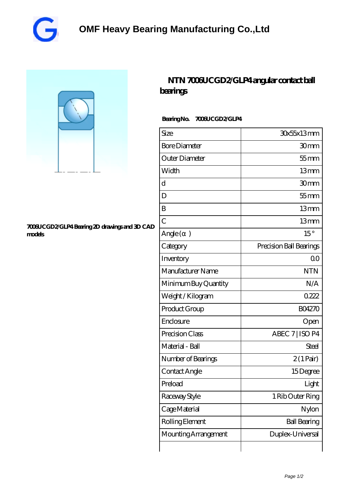



## **[7006UCGD2/GLP4 Bearing 2D drawings and 3D CAD](https://vqjsx.com/pic-61149.html) [models](https://vqjsx.com/pic-61149.html)**

## **[NTN 7006UCGD2/GLP4 angular contact ball](https://vqjsx.com/at-61149-ntn-7006ucgd2-glp4-angular-contact-ball-bearings.html) [bearings](https://vqjsx.com/at-61149-ntn-7006ucgd2-glp4-angular-contact-ball-bearings.html)**

## **Bearing No. 7006UCGD2/GLP4**

| Size                 | 30x55x13mm              |
|----------------------|-------------------------|
| <b>Bore Diameter</b> | 30mm                    |
| Outer Diameter       | $55$ mm                 |
| Width                | 13mm                    |
| d                    | 30mm                    |
| D                    | $55$ mm                 |
| B                    | 13mm                    |
| $\overline{C}$       | 13mm                    |
| Angle()              | $15^{\circ}$            |
| Category             | Precision Ball Bearings |
| Inventory            | 0 <sub>0</sub>          |
| Manufacturer Name    | <b>NTN</b>              |
| Minimum Buy Quantity | N/A                     |
| Weight / Kilogram    | 0222                    |
| Product Group        | <b>BO4270</b>           |
| Enclosure            | Open                    |
| Precision Class      | ABEC 7   ISO P4         |
| Material - Ball      | Steel                   |
| Number of Bearings   | $2(1 \text{Pair})$      |
| Contact Angle        | 15Degree                |
| Preload              | Light                   |
| Raceway Style        | 1 Rib Outer Ring        |
| Cage Material        | Nylon                   |
| Rolling Element      | <b>Ball Bearing</b>     |
| Mounting Arrangement | Duplex-Universal        |
|                      |                         |